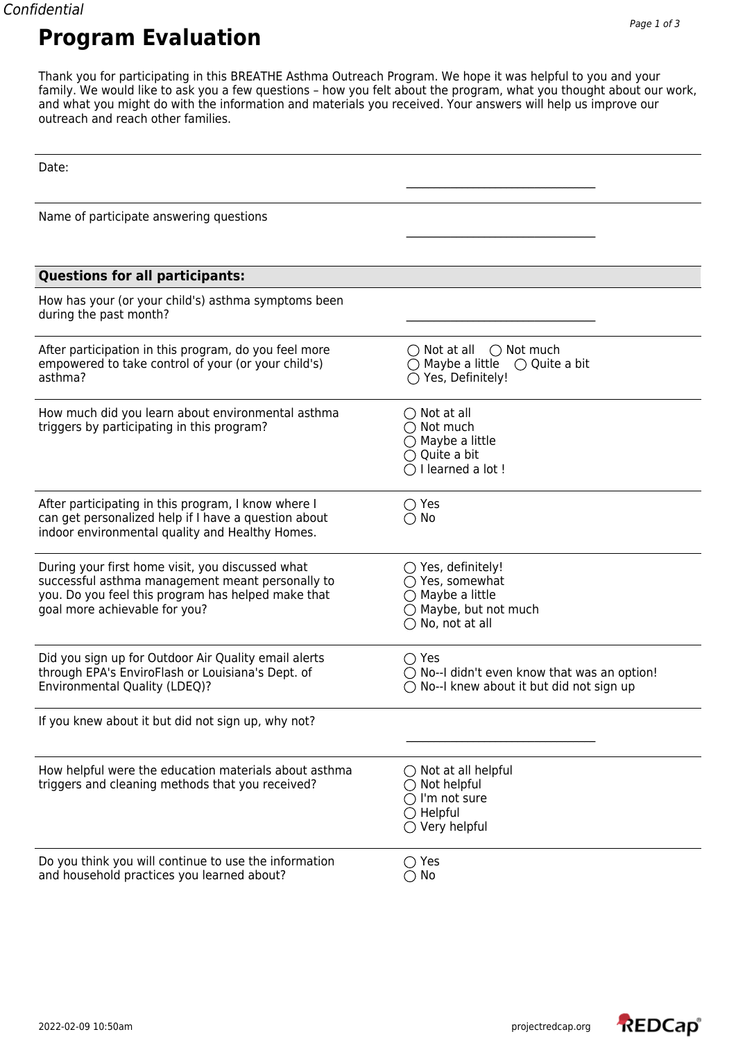Thank you for participating in this BREATHE Asthma Outreach Program. We hope it was helpful to you and your family. We would like to ask you a few questions – how you felt about the program, what you thought about our work, and what you might do with the information and materials you received. Your answers will help us improve our outreach and reach other families.

| Date:                                                                                                                                                                                       |                                                                                                                                            |
|---------------------------------------------------------------------------------------------------------------------------------------------------------------------------------------------|--------------------------------------------------------------------------------------------------------------------------------------------|
| Name of participate answering questions                                                                                                                                                     |                                                                                                                                            |
| <b>Questions for all participants:</b>                                                                                                                                                      |                                                                                                                                            |
| How has your (or your child's) asthma symptoms been<br>during the past month?                                                                                                               |                                                                                                                                            |
| After participation in this program, do you feel more<br>empowered to take control of your (or your child's)<br>asthma?                                                                     | $\bigcirc$ Not at all<br>$\bigcirc$ Not much<br>$\bigcirc$ Maybe a little<br>$\bigcirc$ Quite a bit<br>○ Yes, Definitely!                  |
| How much did you learn about environmental asthma<br>triggers by participating in this program?                                                                                             | $\bigcirc$ Not at all<br>$\bigcirc$ Not much<br>$\bigcirc$ Maybe a little<br>$\bigcirc$ Quite a bit<br>$\bigcap$ I learned a lot!          |
| After participating in this program, I know where I<br>can get personalized help if I have a question about<br>indoor environmental quality and Healthy Homes.                              | $\bigcirc$ Yes<br>$\bigcirc$ No                                                                                                            |
| During your first home visit, you discussed what<br>successful asthma management meant personally to<br>you. Do you feel this program has helped make that<br>goal more achievable for you? | $\bigcirc$ Yes, definitely!<br>○ Yes, somewhat<br>$\bigcirc$ Maybe a little<br>$\bigcirc$ Maybe, but not much<br>$\bigcirc$ No, not at all |
| Did you sign up for Outdoor Air Quality email alerts<br>through EPA's EnviroFlash or Louisiana's Dept. of<br>Environmental Quality (LDEQ)?                                                  | $\bigcirc$ Yes<br>$\bigcirc$ No--I didn't even know that was an option!<br>$\bigcirc$ No--I knew about it but did not sign up              |
| If you knew about it but did not sign up, why not?                                                                                                                                          |                                                                                                                                            |
| How helpful were the education materials about asthma<br>triggers and cleaning methods that you received?                                                                                   | $\bigcirc$ Not at all helpful<br>Not helpful<br>$\bigcirc$ I'm not sure<br>$\bigcirc$ Helpful<br>$\bigcirc$ Very helpful                   |
| Do you think you will continue to use the information<br>and household practices you learned about?                                                                                         | $\bigcirc$ Yes<br>$\bigcirc$ No                                                                                                            |

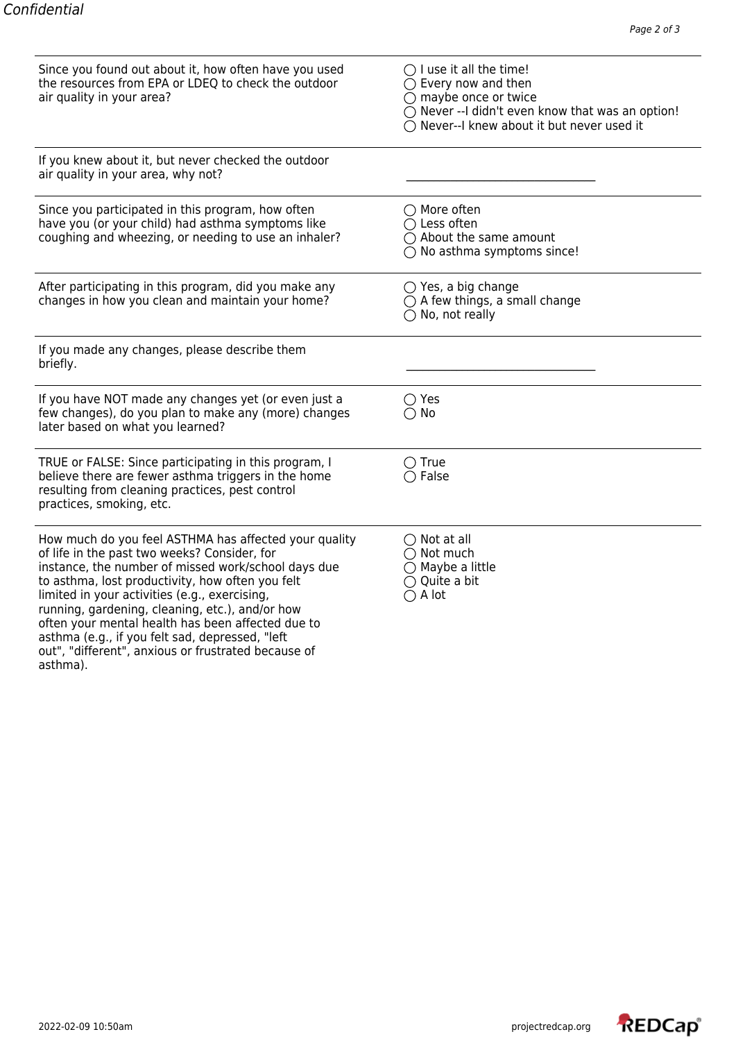| Since you found out about it, how often have you used<br>the resources from EPA or LDEQ to check the outdoor<br>air quality in your area?                                                                                                                                                                                                                                                                                                                                           | $\bigcirc$ I use it all the time!<br>$\bigcirc$ Every now and then<br>$\bigcirc$ maybe once or twice<br>○ Never -- I didn't even know that was an option!<br>$\bigcap$ Never--I knew about it but never used it |  |
|-------------------------------------------------------------------------------------------------------------------------------------------------------------------------------------------------------------------------------------------------------------------------------------------------------------------------------------------------------------------------------------------------------------------------------------------------------------------------------------|-----------------------------------------------------------------------------------------------------------------------------------------------------------------------------------------------------------------|--|
| If you knew about it, but never checked the outdoor<br>air quality in your area, why not?                                                                                                                                                                                                                                                                                                                                                                                           |                                                                                                                                                                                                                 |  |
| Since you participated in this program, how often<br>have you (or your child) had asthma symptoms like<br>coughing and wheezing, or needing to use an inhaler?                                                                                                                                                                                                                                                                                                                      | ◯ More often<br>$\bigcirc$ Less often<br>$\bigcirc$ About the same amount<br>$\bigcirc$ No asthma symptoms since!                                                                                               |  |
| After participating in this program, did you make any<br>changes in how you clean and maintain your home?                                                                                                                                                                                                                                                                                                                                                                           | $\bigcirc$ Yes, a big change<br>$\bigcirc$ A few things, a small change<br>$\bigcap$ No, not really                                                                                                             |  |
| If you made any changes, please describe them<br>briefly.                                                                                                                                                                                                                                                                                                                                                                                                                           |                                                                                                                                                                                                                 |  |
| If you have NOT made any changes yet (or even just a<br>few changes), do you plan to make any (more) changes<br>later based on what you learned?                                                                                                                                                                                                                                                                                                                                    | $\bigcirc$ Yes<br>$\bigcirc$ No                                                                                                                                                                                 |  |
| TRUE or FALSE: Since participating in this program, I<br>believe there are fewer asthma triggers in the home<br>resulting from cleaning practices, pest control<br>practices, smoking, etc.                                                                                                                                                                                                                                                                                         | $\bigcirc$ True<br>$\bigcirc$ False                                                                                                                                                                             |  |
| How much do you feel ASTHMA has affected your quality<br>of life in the past two weeks? Consider, for<br>instance, the number of missed work/school days due<br>to asthma, lost productivity, how often you felt<br>limited in your activities (e.g., exercising,<br>running, gardening, cleaning, etc.), and/or how<br>often your mental health has been affected due to<br>asthma (e.g., if you felt sad, depressed, "left<br>out", "different", anxious or frustrated because of | $\bigcirc$ Not at all<br>$\bigcirc$ Not much<br>$\bigcirc$ Maybe a little<br>$\bigcirc$ Quite a bit<br>$\bigcirc$ A lot                                                                                         |  |

asthma).